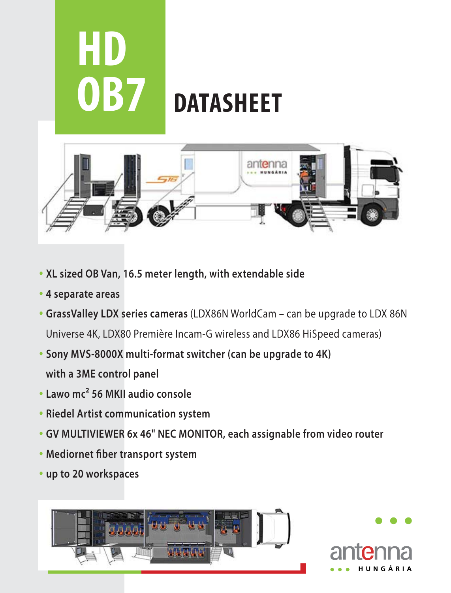

- **XL sized OB Van, 16.5 meter length, with extendable side**
- **4 separate areas**
- **GrassValley LDX series cameras** (LDX86N WorldCam can be upgrade to LDX 86N Universe 4K, LDX80 Première Incam-G wireless and LDX86 HiSpeed cameras)
- **Sony MVS-8000X multi-format switcher (can be upgrade to 4K) with a 3ME control panel**
- **Lawo mc² 56 MKII audio console**
- **Riedel Artist communication system**
- **GV MULTIVIEWER 6x 46" NEC MONITOR, each assignable from video router**
- **Mediornet fiber transport system**
- **up to 20 workspaces**